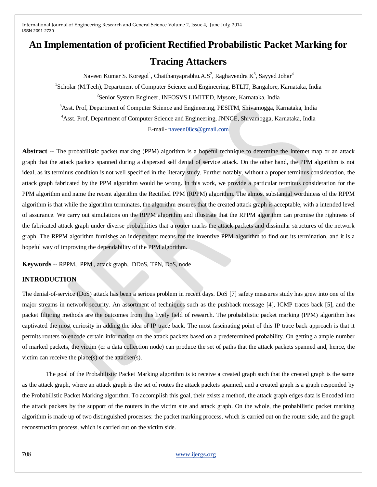# **An Implementation of proficient Rectified Probabilistic Packet Marking for Tracing Attackers**

Naveen Kumar S. Koregol<sup>1</sup>, Chaithanyaprabhu.A.S<sup>2</sup>, Raghavendra K<sup>3</sup>, Sayyed Johar<sup>4</sup>

<sup>1</sup>Scholar (M.Tech), Department of Computer Science and Engineering, BTLIT, Bangalore, Karnataka, India

2 Senior System Engineer, INFOSYS LIMITED, Mysore, Karnataka, India

<sup>3</sup> Asst. Prof, Department of Computer Science and Engineering, PESITM, Shivamogga, Karnataka, India

<sup>4</sup>Asst. Prof, Department of Computer Science and Engineering, JNNCE, Shivamogga, Karnataka, India

E-mail- [naveen08cs@gmail.com](mailto:naveen08cs@gmail.com)

**Abstract --** The probabilistic packet marking (PPM) algorithm is a hopeful technique to determine the Internet map or an attack graph that the attack packets spanned during a dispersed self denial of service attack. On the other hand, the PPM algorithm is not ideal, as its terminus condition is not well specified in the literary study. Further notably, without a proper terminus consideration, the attack graph fabricated by the PPM algorithm would be wrong. In this work, we provide a particular terminus consideration for the PPM algorithm and name the recent algorithm the Rectified PPM (RPPM) algorithm. The almost substantial worthiness of the RPPM algorithm is that while the algorithm terminates, the algorithm ensures that the created attack graph is acceptable, with a intended level of assurance. We carry out simulations on the RPPM algorithm and illustrate that the RPPM algorithm can promise the rightness of the fabricated attack graph under diverse probabilities that a router marks the attack packets and dissimilar structures of the network graph. The RPPM algorithm furnishes an independent means for the inventive PPM algorithm to find out its termination, and it is a hopeful way of improving the dependability of the PPM algorithm.

**Keywords** -- RPPM, PPM , attack graph, DDoS, TPN, DoS, node

# **INTRODUCTION**

The denial-of-service (DoS) attack has been a serious problem in recent days. DoS [7] safety measures study has grew into one of the major streams in network security. An assortment of techniques such as the pushback message [4], ICMP traces back [5], and the packet filtering methods are the outcomes from this lively field of research. The probabilistic packet marking (PPM) algorithm has captivated the most curiosity in adding the idea of IP trace back. The most fascinating point of this IP trace back approach is that it permits routers to encode certain information on the attack packets based on a predetermined probability. On getting a ample number of marked packets, the victim (or a data collection node) can produce the set of paths that the attack packets spanned and, hence, the victim can receive the place(s) of the attacker(s).

The goal of the Probabilistic Packet Marking algorithm is to receive a created graph such that the created graph is the same as the attack graph, where an attack graph is the set of routes the attack packets spanned, and a created graph is a graph responded by the Probabilistic Packet Marking algorithm. To accomplish this goal, their exists a method, the attack graph edges data is Encoded into the attack packets by the support of the routers in the victim site and attack graph. On the whole, the probabilistic packet marking algorithm is made up of two distinguished processes: the packet marking process, which is carried out on the router side, and the graph reconstruction process, which is carried out on the victim side.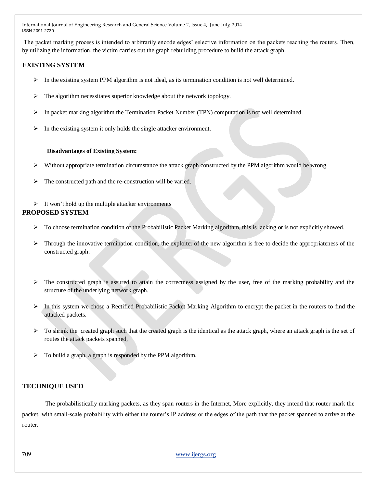The packet marking process is intended to arbitrarily encode edges" selective information on the packets reaching the routers. Then, by utilizing the information, the victim carries out the graph rebuilding procedure to build the attack graph.

# **EXISTING SYSTEM**

- $\triangleright$  In the existing system PPM algorithm is not ideal, as its termination condition is not well determined.
- $\triangleright$  The algorithm necessitates superior knowledge about the network topology.
- $\triangleright$  In packet marking algorithm the Termination Packet Number (TPN) computation is not well determined.
- In the existing system it only holds the single attacker environment.

## **Disadvantages of Existing System:**

- $\triangleright$  Without appropriate termination circumstance the attack graph constructed by the PPM algorithm would be wrong.
- $\triangleright$  The constructed path and the re-construction will be varied.
- $\triangleright$  It won't hold up the multiple attacker environments **PROPOSED SYSTEM**
	- To choose termination condition of the Probabilistic Packet Marking algorithm, this is lacking or is not explicitly showed.
	- $\triangleright$  Through the innovative termination condition, the exploiter of the new algorithm is free to decide the appropriateness of the constructed graph.
	- $\triangleright$  The constructed graph is assured to attain the correctness assigned by the user, free of the marking probability and the structure of the underlying network graph.
	- $\triangleright$  In this system we chose a Rectified Probabilistic Packet Marking Algorithm to encrypt the packet in the routers to find the attacked packets.
	- $\triangleright$  To shrink the created graph such that the created graph is the identical as the attack graph, where an attack graph is the set of routes the attack packets spanned,
	- $\triangleright$  To build a graph, a graph is responded by the PPM algorithm.

## **TECHNIQUE USED**

The probabilistically marking packets, as they span routers in the Internet, More explicitly, they intend that router mark the packet, with small-scale probability with either the router"s IP address or the edges of the path that the packet spanned to arrive at the router.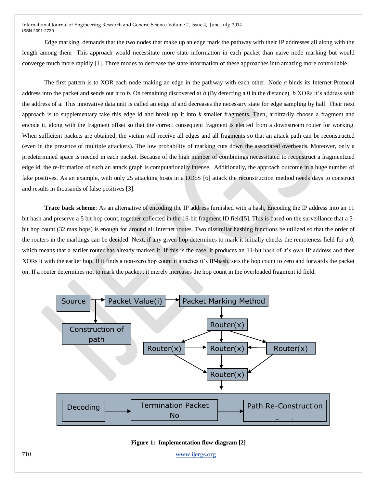Edge marking, demands that the two nodes that make up an edge mark the pathway with their IP addresses all along with the length among them This approach would necessitate more state information in each packet than naive node marking but would converge much more rapidly [1]. Three modes to decrease the state information of these approaches into amazing more controllable.

The first pattern is to XOR each node making an edge in the pathway with each other. Node *a* binds its Internet Protocol address into the packet and sends out it to *b*. On remaining discovered at *b* (By detecting a 0 in the distance), *b* XORs it"s address with the address of a. This innovative data unit is called an edge id and decreases the necessary state for edge sampling by half. Their next approach is to supplementary take this edge id and break up it into *k* smaller fragments. Then, arbitrarily choose a fragment and encode it, along with the fragment offset so that the correct consequent fragment is elected from a downstream router for working. When sufficient packets are obtained, the victim will receive all edges and all fragments so that an attack path can be reconstructed (even in the presence of multiple attackers). The low probability of marking cuts down the associated overheads. Moreover, only a predetermined space is needed in each packet. Because of the high number of combinings necessitated to reconstruct a fragmentized edge id, the re-formation of such an attack graph is computationally intense. Additionally, the approach outcome in a huge number of fake positives. As an example, with only 25 attacking hosts in a DDoS [6] attack the reconstruction method needs days to construct and results in thousands of false positives [3].

**Trace back scheme**: As an alternative of encoding the IP address furnished with a hash, Encoding the IP address into an 11 bit hash and preserve a 5 bit hop count, together collected in the 16-bit fragment ID field[5]. This is based on the surveillance that a 5 bit hop count (32 max hops) is enough for around all Internet routes. Two dissimilar hashing functions be utilized so that the order of the routers in the markings can be decided. Next, if any given hop determines to mark it initially checks the remoteness field for a 0, which means that a earlier router has already marked it. If this is the case, it produces an 11-bit hash of it's own IP address and then XORs it with the earlier hop. If it finds a non-zero hop count it attaches it"s IP-hash, sets the hop count to zero and forwards the packet on. If a router determines not to mark the packet , it merely increases the hop count in the overloaded fragment id field.



710 [www.ijergs.org](http://www.ijergs.org/)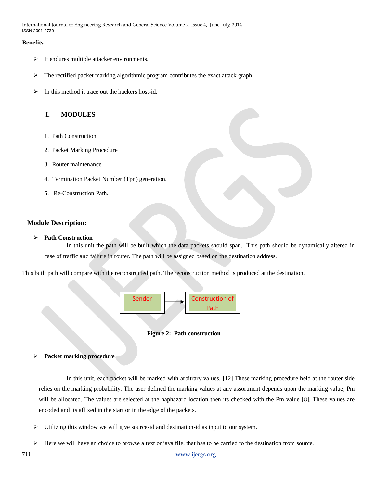### **Benefits**

- $\triangleright$  It endures multiple attacker environments.
- The rectified packet marking algorithmic program contributes the exact attack graph.
- In this method it trace out the hackers host-id.

## **I. MODULES**

- 1. Path Construction
- 2. Packet Marking Procedure
- 3. Router maintenance
- 4. Termination Packet Number (Tpn) generation.
- 5. Re-Construction Path.

## **Module Description:**

#### **Path Construction**

In this unit the path will be built which the data packets should span. This path should be dynamically altered in case of traffic and failure in router. The path will be assigned based on the destination address.

This built path will compare with the reconstructed path. The reconstruction method is produced at the destination.





## **Packet marking procedure**

In this unit, each packet will be marked with arbitrary values. [12] These marking procedure held at the router side relies on the marking probability. The user defined the marking values at any assortment depends upon the marking value, Pm will be allocated. The values are selected at the haphazard location then its checked with the Pm value [8]. These values are encoded and its affixed in the start or in the edge of the packets.

- Utilizing this window we will give source-id and destination-id as input to our system.
- Here we will have an choice to browse a text or java file, that has to be carried to the destination from source.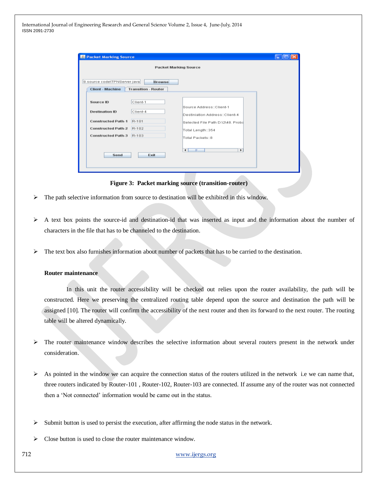| <b>Packet Marking Source</b>       |                            |                                                            |  |  |
|------------------------------------|----------------------------|------------------------------------------------------------|--|--|
| 8.source.code\TPNServer.java       | <b>Browse</b>              |                                                            |  |  |
| <b>Client - Machine</b>            | <b>Transition - Router</b> |                                                            |  |  |
| Source ID<br><b>Destination ID</b> | Client-1<br>Client-4       | Source Address::Client-1<br>Destiniation Address::Client-4 |  |  |
| Constructed Path-1 R-101           |                            | Selected File Path D:\2\48. Proba                          |  |  |
| Constructed Path-2 R-102           |                            | Total Length: 354                                          |  |  |
| <b>Constructed Path.3</b>          | R-103                      | Total Packets∷8                                            |  |  |
| Send                               | Exit                       | ÷<br>٠<br>$\mathbb{H}$                                     |  |  |

**Figure 3: Packet marking source (transition-router)**

- $\triangleright$  The path selective information from source to destination will be exhibited in this window.
- A text box points the source-id and destination-id that was inserted as input and the information about the number of characters in the file that has to be channeled to the destination.
- $\triangleright$  The text box also furnishes information about number of packets that has to be carried to the destination.

### **Router maintenance**

In this unit the router accessibility will be checked out relies upon the router availability, the path will be constructed. Here we preserving the centralized routing table depend upon the source and destination the path will be assigned [10]. The router will confirm the accessibility of the next router and then its forward to the next router. The routing table will be altered dynamically.

- $\triangleright$  The router maintenance window describes the selective information about several routers present in the network under consideration.
- As pointed in the window we can acquire the connection status of the routers utilized in the network i.e we can name that, three routers indicated by Router-101 , Router-102, Router-103 are connected. If assume any of the router was not connected then a "Not connected" information would be came out in the status.
- $\triangleright$  Submit button is used to persist the execution, after affirming the node status in the network.
- Close button is used to close the router maintenance window.

712 [www.ijergs.org](http://www.ijergs.org/)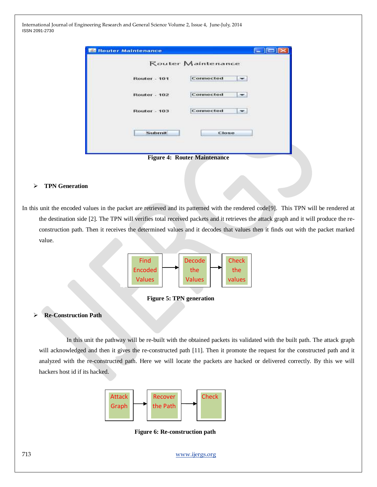|                     | Router Maintenance |  |
|---------------------|--------------------|--|
| <b>Router - 101</b> | Connected          |  |
| <b>Router - 102</b> | Connected          |  |
| <b>Router - 103</b> | Connected          |  |
| <b>Submit</b>       | Close              |  |
|                     |                    |  |

## **TPN Generation**

In this unit the encoded values in the packet are retrieved and its patterned with the rendered code[9]. This TPN will be rendered at the destination side [2]. The TPN will verifies total received packets and it retrieves the attack graph and it will produce the reconstruction path. Then it receives the determined values and it decodes that values then it finds out with the packet marked value.





## **Re-Construction Path**

In this unit the pathway will be re-built with the obtained packets its validated with the built path. The attack graph will acknowledged and then it gives the re-constructed path [11]. Then it promote the request for the constructed path and it analyzed with the re-constructed path. Here we will locate the packets are hacked or delivered correctly. By this we will hackers host id if its hacked.



**Figure 6: Re-construction path**

713 [www.ijergs.org](http://www.ijergs.org/)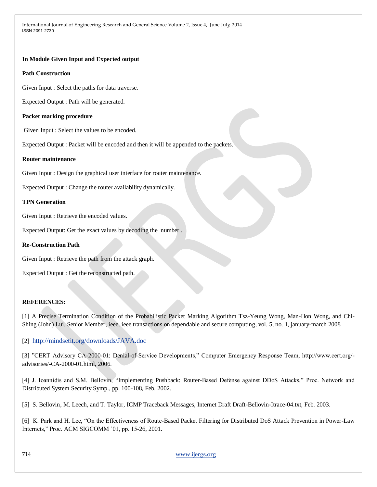## **In Module Given Input and Expected output**

## **Path Construction**

Given Input : Select the paths for data traverse.

Expected Output : Path will be generated.

#### **Packet marking procedure**

Given Input : Select the values to be encoded.

Expected Output : Packet will be encoded and then it will be appended to the packets.

## **Router maintenance**

Given Input : Design the graphical user interface for router maintenance.

Expected Output : Change the router availability dynamically.

### **TPN Generation**

Given Input : Retrieve the encoded values.

Expected Output: Get the exact values by decoding the number .

### **Re-Construction Path**

Given Input : Retrieve the path from the attack graph.

Expected Output : Get the reconstructed path.

## **REFERENCES:**

[1] A Precise Termination Condition of the Probabilistic Packet Marking Algorithm Tsz-Yeung Wong, Man-Hon Wong, and Chi-Shing (John) Lui, Senior Member, ieee, ieee transactions on dependable and secure computing, vol. 5, no. 1, january-march 2008

## [2] <http://mindsetit.org/downloads/JAVA.doc>

[3] "CERT Advisory CA-2000-01: Denial-of-Service Developments," Computer Emergency Response Team, http://www.cert.org/ advisories/-CA-2000-01.html, 2006.

[4] J. Ioannidis and S.M. Bellovin, "Implementing Pushback: Router-Based Defense against DDoS Attacks," Proc. Network and Distributed System Security Symp., pp. 100-108, Feb. 2002.

[5] S. Bellovin, M. Leech, and T. Taylor, ICMP Traceback Messages, Internet Draft Draft-Bellovin-Itrace-04.txt, Feb. 2003.

[6] K. Park and H. Lee, "On the Effectiveness of Route-Based Packet Filtering for Distributed DoS Attack Prevention in Power-Law Internets," Proc. ACM SIGCOMM "01, pp. 15-26, 2001.